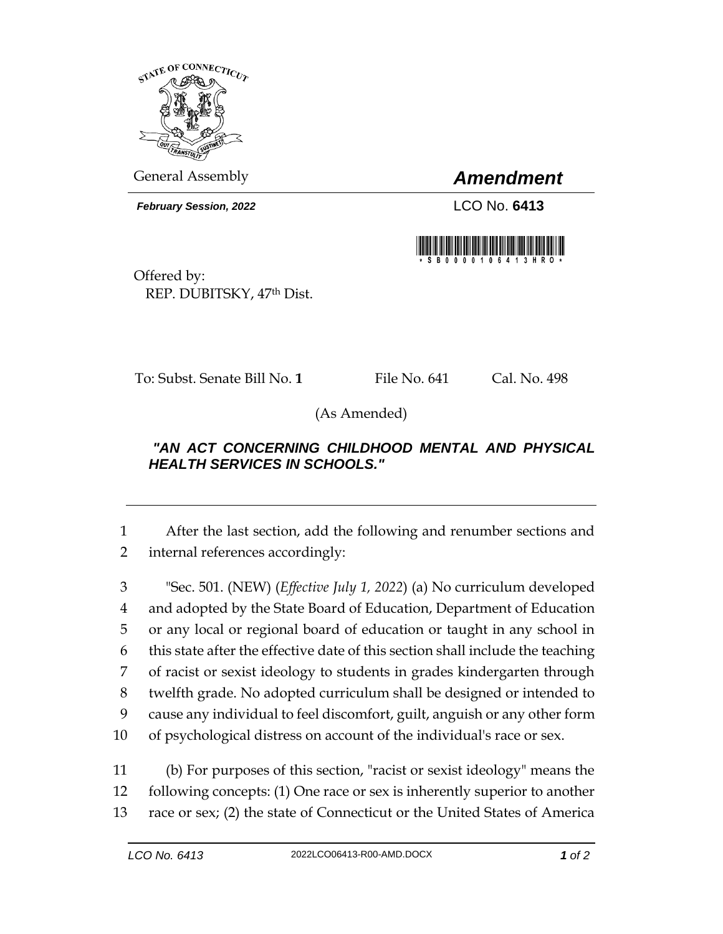

General Assembly *Amendment*

*February Session, 2022* LCO No. **6413**



Offered by: REP. DUBITSKY, 47th Dist.

To: Subst. Senate Bill No. **1** File No. 641 Cal. No. 498

(As Amended)

## *"AN ACT CONCERNING CHILDHOOD MENTAL AND PHYSICAL HEALTH SERVICES IN SCHOOLS."*

1 After the last section, add the following and renumber sections and 2 internal references accordingly:

 "Sec. 501. (NEW) (*Effective July 1, 2022*) (a) No curriculum developed and adopted by the State Board of Education, Department of Education or any local or regional board of education or taught in any school in this state after the effective date of this section shall include the teaching of racist or sexist ideology to students in grades kindergarten through twelfth grade. No adopted curriculum shall be designed or intended to cause any individual to feel discomfort, guilt, anguish or any other form of psychological distress on account of the individual's race or sex.

11 (b) For purposes of this section, "racist or sexist ideology" means the 12 following concepts: (1) One race or sex is inherently superior to another 13 race or sex; (2) the state of Connecticut or the United States of America